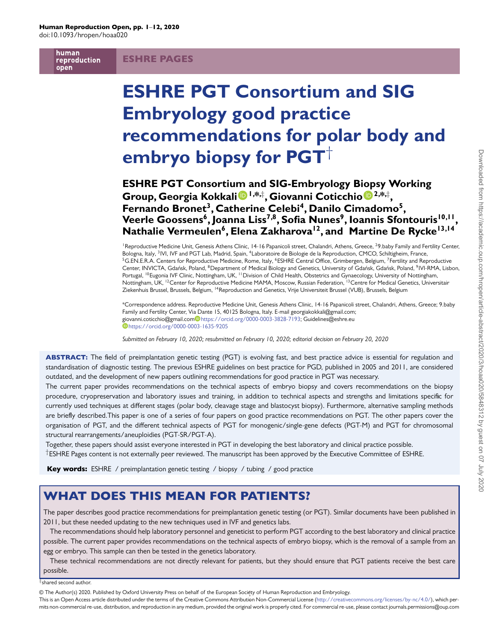human reproduction open

# ESHRE PAGES

# **ESHRE PGT Consortium and SIG Embryology good practice recommendations for polar body and embryo biopsy for PGT**†

**ESHRE PGT Consortiu[m](https://orcid.org/0000-0003-3828-7193) [a](https://orcid.org/0000-0003-3828-7193)nd SIG-Embryology B[iop](http://orcid.org/0000-0003-1635-9205)sy Working Group, Georgia Kokkali 1,\*,**‡ **, Giovanni Coticchio 2,\*,**‡ **,** Fernando Bronet<sup>3</sup>, Catherine Celebi<sup>4</sup>, Danilo Cimadomo<sup>5</sup>, Veerle Goossens<sup>6</sup>, Joanna Liss<sup>7,8</sup>, Sofia Nunes<sup>9</sup>, Ioannis Sfontouris<sup>10,11</sup>, Nathalie Vermeulen<sup>6</sup>, Elena Zakharova<sup>12</sup>, and Martine De Rycke<sup>13,14</sup>

<sup>1</sup> Reproductive Medicine Unit, Genesis Athens Clinic, 14-16 Papanicoli street, Chalandri, Athens, Greece, <sup>2</sup>9.baby Family and Fertility Center, Bologna, Italy, <sup>3</sup>IVI, IVF and PGT Lab, Madrid, Spain, <sup>4</sup>Laboratoire de Biologie de la Reproduction, CMCO, Schiltigheim, France,  ${}^5G$ .EN.E.R.A. Centers for Reproductive Medicine, Rome, Italy,  ${}^6E$ SHRE Central Office, Grimbergen, Belgium, <sup>7</sup>Fertility and Reproductive Center, INVICTA, Gdańsk, Poland, <sup>8</sup>Department of Medical Biology and Genetics, University of Gdańsk, Gdańsk, Poland, <sup>9</sup>IVI-RMA, Lisbon, Portugal, <sup>10</sup>Eugonia IVF Clinic, Nottingham, UK, <sup>11</sup> Division of Child Health, Obstetrics and Gynaecology, University of Nottingham, Nottingham, UK, 12Center for Reproductive Medicine MAMA, Moscow, Russian Federation, 13Centre for Medical Genetics, Universitair Ziekenhuis Brussel, Brussels, Belgium, <sup>14</sup>Reproduction and Genetics, Vrije Universiteit Brussel (VUB), Brussels, Belgium

\*Correspondence address. Reproductive Medicine Unit, Genesis Athens Clinic, 14-16 Papanicoli street, Chalandri, Athens, Greece; 9.baby Family and Fertility Center, Via Dante 15, 40125 Bologna, Italy. E-mail georgiakokkali@gmail.com; [gio](https://orcid.org/0000-0003-1635-9205)vanni.coticchio@g[m](https://orcid.org/0000-0003-3828-7193)ail.com [https://orcid.org/0000-0003-3828-7193;](https://orcid.org/0000-0003-3828-7193) Guidelines@eshre.eu <https://orcid.org/0000-0003-1635-9205>

*Submitted on February 10, 2020; resubmitted on February 10, 2020; editorial decision on February 20, 2020*

ABSTRACT: The field of preimplantation genetic testing (PGT) is evolving fast, and best practice advice is essential for regulation and standardisation of diagnostic testing. The previous ESHRE guidelines on best practice for PGD, published in 2005 and 2011, are considered outdated, and the development of new papers outlining recommendations for good practice in PGT was necessary.

The current paper provides recommendations on the technical aspects of embryo biopsy and covers recommendations on the biopsy procedure, cryopreservation and laboratory issues and training, in addition to technical aspects and strengths and limitations specific for currently used techniques at different stages (polar body, cleavage stage and blastocyst biopsy). Furthermore, alternative sampling methods are briefly described.This paper is one of a series of four papers on good practice recommendations on PGT. The other papers cover the organisation of PGT, and the different technical aspects of PGT for monogenic/single-gene defects (PGT-M) and PGT for chromosomal structural rearrangements/aneuploidies (PGT-SR/PGT-A).

Together, these papers should assist everyone interested in PGT in developing the best laboratory and clinical practice possible. †ESHRE Pages content is not externally peer reviewed. The manuscript has been approved by the Executive Committee of ESHRE.

Key words: ESHRE / preimplantation genetic testing / biopsy / tubing / good practice

# WHAT DOES THIS MEAN FOR PATIENTS?

The paper describes good practice recommendations for preimplantation genetic testing (or PGT). Similar documents have been published in 2011, but these needed updating to the new techniques used in IVF and genetics labs.

The recommendations should help laboratory personnel and geneticist to perform PGT according to the best laboratory and clinical practice possible. The current paper provides recommendations on the technical aspects of embryo biopsy, which is the removal of a sample from an egg or embryo. This sample can then be tested in the genetics laboratory.

These technical recommendations are not directly relevant for patients, but they should ensure that PGT patients receive the best care possible.

#### $^\ddagger$ shared second author.

This is an Open Access article distributed under the terms of the Creative Commons Attribution Non-Commercial License [\(http://creativecommons.org/licenses/by-nc/4.0/\)](http://creativecommons.org/licenses/by-nc/4.0/), which per-**.** mits non-commercial re-use, distribution, and reproduction in any medium, provided the original work is properly cited. For commercial re-use, please contact journals.permissions@oup.com

<sup>©</sup> The Author(s) 2020. Published by Oxford University Press on behalf of the European Society of Human Reproduction and Embryology. **. .**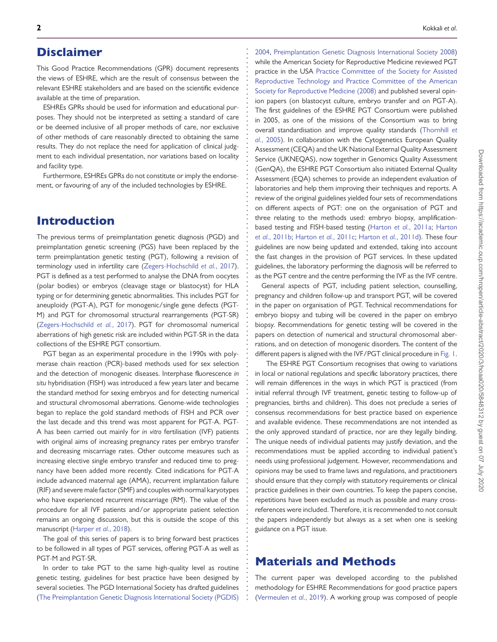# Disclaimer

This Good Practice Recommendations (GPR) document represents the views of ESHRE, which are the result of consensus between the relevant ESHRE stakeholders and are based on the scientific evidence available at the time of preparation.

**. . . . . . . . . . . . . . . . . . . . . . . . . . . . . . . . . . . . . . . . . . . . . . . . . . . . . . . . . . . . . . . . . . . . . . . . . . . . . . . . . . . . . . . . . . . . . . . . . . . . . . . . . . . . . . . . . . . . . . . . . . . .**

ESHREs GPRs should be used for information and educational purposes. They should not be interpreted as setting a standard of care or be deemed inclusive of all proper methods of care, nor exclusive of other methods of care reasonably directed to obtaining the same results. They do not replace the need for application of clinical judgment to each individual presentation, nor variations based on locality and facility type.

Furthermore, ESHREs GPRs do not constitute or imply the endorsement, or favouring of any of the included technologies by ESHRE.

# Introduction

The previous terms of preimplantation genetic diagnosis (PGD) and preimplantation genetic screening (PGS) have been replaced by the term preimplantation genetic testing (PGT), following a revision of terminology used in infertility care [\(Zegers-Hochschild](#page-11-0) *et al.*, 2017). PGT is defined as a test performed to analyse the DNA from oocytes (polar bodies) or embryos (cleavage stage or blastocyst) for HLA typing or for determining genetic abnormalities. This includes PGT for aneuploidy (PGT-A), PGT for monogenic/single gene defects (PGT-M) and PGT for chromosomal structural rearrangements (PGT-SR) [\(Zegers-Hochschild](#page-11-0) *et al.*, 2017). PGT for chromosomal numerical aberrations of high genetic risk are included within PGT-SR in the data collections of the ESHRE PGT consortium.

PGT began as an experimental procedure in the 1990s with polymerase chain reaction (PCR)-based methods used for sex selection and the detection of monogenic diseases. Interphase fluorescence *in situ* hybridisation (FISH) was introduced a few years later and became the standard method for sexing embryos and for detecting numerical and structural chromosomal aberrations. Genome-wide technologies began to replace the gold standard methods of FISH and PCR over the last decade and this trend was most apparent for PGT-A. PGT-A has been carried out mainly for *in vitro* fertilisation (IVF) patients with original aims of increasing pregnancy rates per embryo transfer and decreasing miscarriage rates. Other outcome measures such as increasing elective single embryo transfer and reduced time to pregnancy have been added more recently. Cited indications for PGT-A include advanced maternal age (AMA), recurrent implantation failure (RIF) and severe male factor (SMF) and couples with normal karyotypes who have experienced recurrent miscarriage (RM). The value of the procedure for all IVF patients and/or appropriate patient selection remains an ongoing discussion, but this is outside the scope of this manuscript [\(Harper](#page-11-1) *et al.*, 2018).

The goal of this series of papers is to bring forward best practices to be followed in all types of PGT services, offering PGT-A as well as PGT-M and PGT-SR.

In order to take PGT to the same high-quality level as routine genetic testing, guidelines for best practice have been designed by several societies. The PGD International Society has drafted guidelines [\(The Preimplantation Genetic Diagnosis International Society \(PGDIS\)](#page-11-2)

[2004,](#page-11-2) [Preimplantation Genetic Diagnosis International Society 2008\)](#page-11-3) while the American Society for Reproductive Medicine reviewed PGT practice in the USA Practice Committee of the Society for Assisted [Reproductive Technology and Practice Committee of the American](#page-11-4) Society for Reproductive Medicine (2008) and published several opinion papers (on blastocyst culture, embryo transfer and on PGT-A). The first guidelines of the ESHRE PGT Consortium were published in 2005, as one of the missions of the Consortium was to bring overall standardisation and improve quality standards (Thornhill *et al.*[, 2005\). In collaboration with the Cytogenetics European Quality](#page-11-5) Assessment (CEQA) and the UK National External Quality Assessment Service (UKNEQAS), now together in Genomics Quality Assessment (GenQA), the ESHRE PGT Consortium also initiated External Quality Assessment (EQA) schemes to provide an independent evaluation of laboratories and help them improving their techniques and reports. A review of the original guidelines yielded four sets of recommendations on different aspects of PGT: one on the organisation of PGT and three relating to the methods used: embryo biopsy, amplification[based testing and FISH-based testing \(Harton](#page-11-7) *et al.*[, 2011a;](#page-11-6) Harton *et al.*, 2011b; Harton *et al.*[, 2011c;](#page-11-8) Harton *et al.*[, 2011d\)](#page-11-9). These four guidelines are now being updated and extended, taking into account the fast changes in the provision of PGT services. In these updated guidelines, the laboratory performing the diagnosis will be referred to as the PGT centre and the centre performing the IVF as the IVF centre.

General aspects of PGT, including patient selection, counselling, pregnancy and children follow-up and transport PGT, will be covered in the paper on organisation of PGT. Technical recommendations for embryo biopsy and tubing will be covered in the paper on embryo biopsy. Recommendations for genetic testing will be covered in the papers on detection of numerical and structural chromosomal aberrations, and on detection of monogenic disorders. The content of the different papers is aligned with the IVF/PGT clinical procedure in [Fig. 1.](#page-2-0)

The ESHRE PGT Consortium recognises that owing to variations in local or national regulations and specific laboratory practices, there will remain differences in the ways in which PGT is practiced (from initial referral through IVF treatment, genetic testing to follow-up of pregnancies, births and children). This does not preclude a series of consensus recommendations for best practice based on experience and available evidence. These recommendations are not intended as the only approved standard of practice, nor are they legally binding. The unique needs of individual patients may justify deviation, and the recommendations must be applied according to individual patient's needs using professional judgement. However, recommendations and opinions may be used to frame laws and regulations, and practitioners should ensure that they comply with statutory requirements or clinical practice guidelines in their own countries. To keep the papers concise, repetitions have been excluded as much as possible and many crossreferences were included. Therefore, it is recommended to not consult the papers independently but always as a set when one is seeking guidance on a PGT issue.

# Materials and Methods

The current paper was developed according to the published methodology for ESHRE Recommendations for good practice papers [\(Vermeulen](#page-11-10) *et al.*, 2019). A working group was composed of people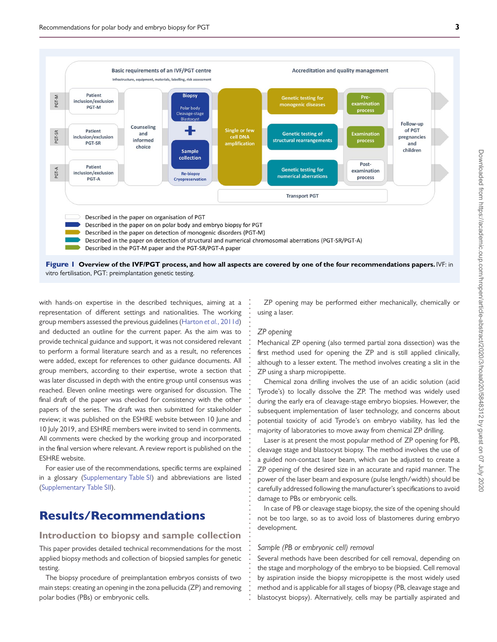

Figure 1 **Overview of the IVF/PGT process, and how all aspects are covered by one of the four recommendations papers.** IVF: in vitro fertilisation, PGT: preimplantation genetic testing.

> **. . . . . . . . . . . . . . . . . . . . . . . . . . . . . . . . . . . . . . . . . . . . . . . . . . . . . . . . . . . . . . . . . . . .**

<span id="page-2-0"></span>with hands-on expertise in the described techniques, aiming at a representation of different settings and nationalities. The working group members assessed the previous guidelines (Harton *et al.*[, 2011d\)](#page-11-9) and deducted an outline for the current paper. As the aim was to provide technical guidance and support, it was not considered relevant to perform a formal literature search and as a result, no references were added, except for references to other guidance documents. All group members, according to their expertise, wrote a section that was later discussed in depth with the entire group until consensus was reached. Eleven online meetings were organised for discussion. The final draft of the paper was checked for consistency with the other papers of the series. The draft was then submitted for stakeholder review; it was published on the ESHRE website between 10 June and 10 July 2019, and ESHRE members were invited to send in comments. All comments were checked by the working group and incorporated in the final version where relevant. A review report is published on the ESHRE website.

For easier use of the recommendations, specific terms are explained in a glossary [\(Supplementary Table SI\)](https://academic.oup.com/hropen/article-lookup/doi/10.1093/hropen/hoaa020#supplementary-data) and abbreviations are listed [\(Supplementary Table SII\)](https://academic.oup.com/hropen/article-lookup/doi/10.1093/hropen/hoaa020#supplementary-data).

# Results/Recommendations

### **Introduction to biopsy and sample collection**

This paper provides detailed technical recommendations for the most applied biopsy methods and collection of biopsied samples for genetic testing.

The biopsy procedure of preimplantation embryos consists of two main steps: creating an opening in the zona pellucida (ZP) and removing polar bodies (PBs) or embryonic cells.

ZP opening may be performed either mechanically, chemically or using a laser.

#### *ZP opening*

Mechanical ZP opening (also termed partial zona dissection) was the first method used for opening the ZP and is still applied clinically, although to a lesser extent. The method involves creating a slit in the ZP using a sharp micropipette.

Chemical zona drilling involves the use of an acidic solution (acid Tyrode's) to locally dissolve the ZP. The method was widely used during the early era of cleavage-stage embryo biopsies. However, the subsequent implementation of laser technology, and concerns about potential toxicity of acid Tyrode's on embryo viability, has led the majority of laboratories to move away from chemical ZP drilling.

Laser is at present the most popular method of ZP opening for PB, cleavage stage and blastocyst biopsy. The method involves the use of a guided non-contact laser beam, which can be adjusted to create a ZP opening of the desired size in an accurate and rapid manner. The power of the laser beam and exposure (pulse length/width) should be carefully addressed following the manufacturer's specifications to avoid damage to PBs or embryonic cells.

In case of PB or cleavage stage biopsy, the size of the opening should not be too large, so as to avoid loss of blastomeres during embryo development.

#### *Sample (PB or embryonic cell) removal*

Several methods have been described for cell removal, depending on the stage and morphology of the embryo to be biopsied. Cell removal by aspiration inside the biopsy micropipette is the most widely used method and is applicable for all stages of biopsy (PB, cleavage stage and blastocyst biopsy). Alternatively, cells may be partially aspirated and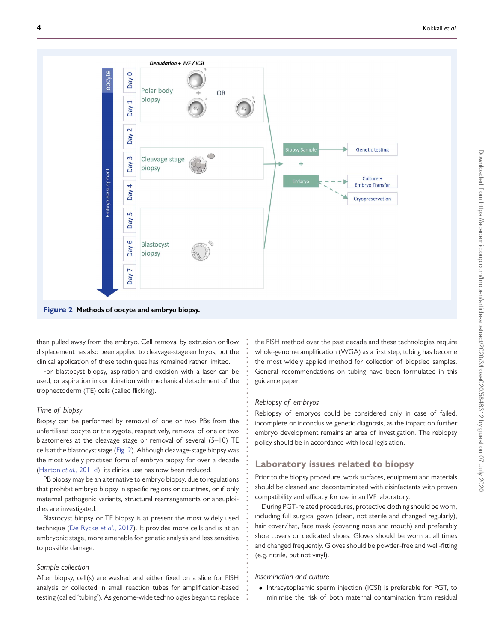

**. . . . . . . . . . . . . . . . . . . . . . . . . . . . . . . . . . . . . . . . . . . . . . . . . . . . . . . . . . .**

then pulled away from the embryo. Cell removal by extrusion or flow displacement has also been applied to cleavage-stage embryos, but the clinical application of these techniques has remained rather limited.

For blastocyst biopsy, aspiration and excision with a laser can be used, or aspiration in combination with mechanical detachment of the trophectoderm (TE) cells (called flicking).

#### *Time of biopsy*

<span id="page-3-0"></span>Biopsy can be performed by removal of one or two PBs from the unfertilised oocyte or the zygote, respectively, removal of one or two blastomeres at the cleavage stage or removal of several (5–10) TE cells at the blastocyst stage [\(Fig. 2\)](#page-3-0). Although cleavage-stage biopsy was the most widely practised form of embryo biopsy for over a decade (Harton *et al.*[, 2011d\)](#page-11-9), its clinical use has now been reduced.

PB biopsy may be an alternative to embryo biopsy, due to regulations that prohibit embryo biopsy in specific regions or countries, or if only maternal pathogenic variants, structural rearrangements or aneuploidies are investigated.

Blastocyst biopsy or TE biopsy is at present the most widely used technique [\(De Rycke](#page-11-11) *et al.*, 2017). It provides more cells and is at an embryonic stage, more amenable for genetic analysis and less sensitive to possible damage.

#### <span id="page-3-1"></span>*Sample collection*

After biopsy, cell(s) are washed and either fixed on a slide for FISH analysis or collected in small reaction tubes for amplification-based testing (called 'tubing'). As genome-wide technologies began to replace the FISH method over the past decade and these technologies require whole-genome amplification (WGA) as a first step, tubing has become the most widely applied method for collection of biopsied samples. General recommendations on tubing have been formulated in this guidance paper.

#### *Rebiopsy of embryos*

Rebiopsy of embryos could be considered only in case of failed, incomplete or inconclusive genetic diagnosis, as the impact on further embryo development remains an area of investigation. The rebiopsy policy should be in accordance with local legislation.

### **Laboratory issues related to biopsy**

Prior to the biopsy procedure, work surfaces, equipment and materials should be cleaned and decontaminated with disinfectants with proven compatibility and efficacy for use in an IVF laboratory.

During PGT-related procedures, protective clothing should be worn, including full surgical gown (clean, not sterile and changed regularly), hair cover/hat, face mask (covering nose and mouth) and preferably shoe covers or dedicated shoes. Gloves should be worn at all times and changed frequently. Gloves should be powder-free and well-fitting (e.g. nitrile, but not vinyl).

#### *Insemination and culture*

• Intracytoplasmic sperm injection (ICSI) is preferable for PGT, to minimise the risk of both maternal contamination from residual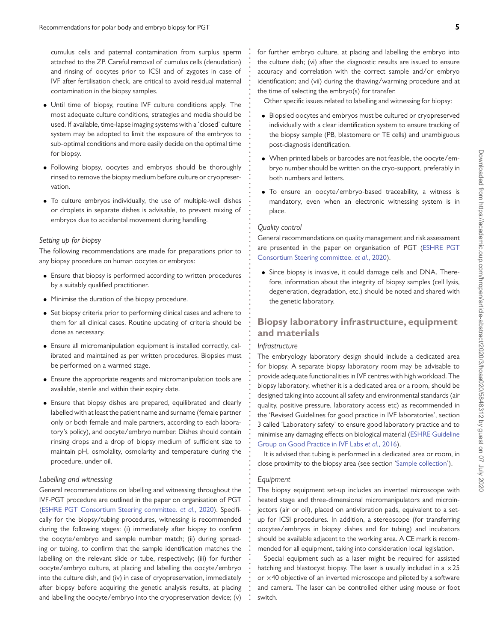cumulus cells and paternal contamination from surplus sperm attached to the ZP. Careful removal of cumulus cells (denudation) and rinsing of oocytes prior to ICSI and of zygotes in case of IVF after fertilisation check, are critical to avoid residual maternal contamination in the biopsy samples.

- Until time of biopsy, routine IVF culture conditions apply. The most adequate culture conditions, strategies and media should be used. If available, time-lapse imaging systems with a 'closed' culture system may be adopted to limit the exposure of the embryos to sub-optimal conditions and more easily decide on the optimal time for biopsy.
- Following biopsy, oocytes and embryos should be thoroughly rinsed to remove the biopsy medium before culture or cryopreservation.
- To culture embryos individually, the use of multiple-well dishes or droplets in separate dishes is advisable, to prevent mixing of embryos due to accidental movement during handling.

#### *Setting up for biopsy*

The following recommendations are made for preparations prior to any biopsy procedure on human oocytes or embryos:

- Ensure that biopsy is performed according to written procedures by a suitably qualified practitioner.
- Minimise the duration of the biopsy procedure.
- Set biopsy criteria prior to performing clinical cases and adhere to them for all clinical cases. Routine updating of criteria should be done as necessary.
- Ensure all micromanipulation equipment is installed correctly, calibrated and maintained as per written procedures. Biopsies must be performed on a warmed stage.
- Ensure the appropriate reagents and micromanipulation tools are available, sterile and within their expiry date.
- Ensure that biopsy dishes are prepared, equilibrated and clearly labelled with at least the patient name and surname (female partner only or both female and male partners, according to each laboratory's policy), and oocyte/embryo number. Dishes should contain rinsing drops and a drop of biopsy medium of sufficient size to maintain pH, osmolality, osmolarity and temperature during the procedure, under oil.

#### *Labelling and witnessing*

General recommendations on labelling and witnessing throughout the IVF-PGT procedure are outlined in the paper on organisation of PGT [\(ESHRE PGT Consortium Steering committee.](#page-11-12) *et al*., 2020). Specifically for the biopsy/tubing procedures, witnessing is recommended during the following stages: (i) immediately after biopsy to confirm the oocyte/embryo and sample number match; (ii) during spreading or tubing, to confirm that the sample identification matches the labelling on the relevant slide or tube, respectively; (iii) for further oocyte/embryo culture, at placing and labelling the oocyte/embryo into the culture dish, and (iv) in case of cryopreservation, immediately after biopsy before acquiring the genetic analysis results, at placing and labelling the oocyte/embryo into the cryopreservation device; (v) for further embryo culture, at placing and labelling the embryo into the culture dish; (vi) after the diagnostic results are issued to ensure accuracy and correlation with the correct sample and/or embryo identification; and (vii) during the thawing/warming procedure and at the time of selecting the embryo(s) for transfer.

Other specific issues related to labelling and witnessing for biopsy:

- Biopsied oocytes and embryos must be cultured or cryopreserved individually with a clear identification system to ensure tracking of the biopsy sample (PB, blastomere or TE cells) and unambiguous post-diagnosis identification.
- When printed labels or barcodes are not feasible, the oocyte/embryo number should be written on the cryo-support, preferably in both numbers and letters.
- To ensure an oocyte/embryo-based traceability, a witness is mandatory, even when an electronic witnessing system is in place.

#### *Quality control*

**. . . . . . . . . . . . . . . . . . . . . . . . . . . . . . . . . . . . . . . . . . . . . . . . . . . . . . . . . . . . . . . . . . . . . . . . . . . . . . . . . . . . . . . . . . . . . . . . . . . . . . . . . . . . . . . . . . . . . . . . . . . .**

General recommendations on quality management and risk assessment [are presented in the paper on organisation of PGT \(ESHRE PGT](#page-11-12) Consortium Steering committee. *et al*., 2020).

• Since biopsy is invasive, it could damage cells and DNA. Therefore, information about the integrity of biopsy samples (cell lysis, degeneration, degradation, etc.) should be noted and shared with the genetic laboratory.

### **Biopsy laboratory infrastructure, equipment and materials**

#### *Infrastructure*

The embryology laboratory design should include a dedicated area for biopsy. A separate biopsy laboratory room may be advisable to provide adequate functionalities in IVF centres with high workload. The biopsy laboratory, whether it is a dedicated area or a room, should be designed taking into account all safety and environmental standards (air quality, positive pressure, laboratory access etc) as recommended in the 'Revised Guidelines for good practice in IVF laboratories', section 3 called 'Laboratory safety' to ensure good laboratory practice and to [minimise any damaging effects on biological material \(ESHRE Guideline](#page-11-13) Group on Good Practice in IVF Labs *et al.*, 2016).

It is advised that tubing is performed in a dedicated area or room, in close proximity to the biopsy area (see section ['Sample collection'](#page-3-1)).

#### *Equipment*

The biopsy equipment set-up includes an inverted microscope with heated stage and three-dimensional micromanipulators and microinjectors (air or oil), placed on antivibration pads, equivalent to a setup for ICSI procedures. In addition, a stereoscope (for transferring oocytes/embryos in biopsy dishes and for tubing) and incubators should be available adjacent to the working area. A CE mark is recommended for all equipment, taking into consideration local legislation.

Special equipment such as a laser might be required for assisted hatching and blastocyst biopsy. The laser is usually included in a  $\times 25$ or  $\times$ 40 objective of an inverted microscope and piloted by a software and camera. The laser can be controlled either using mouse or foot switch.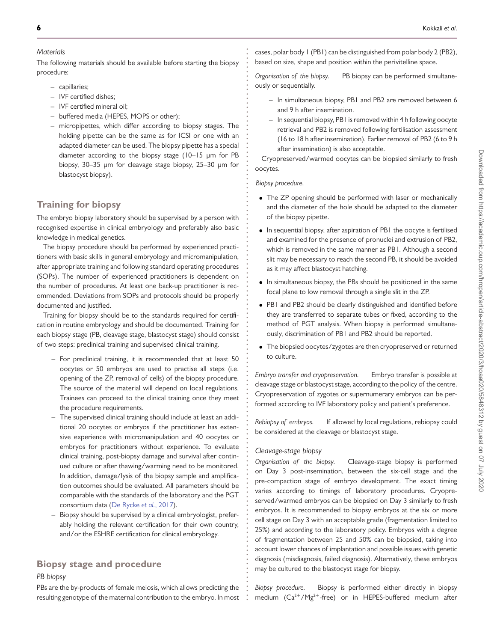#### *Materials*

The following materials should be available before starting the biopsy procedure:

- capillaries;
- IVF certified dishes;
- IVF certified mineral oil;
- buffered media (HEPES, MOPS or other);
- micropipettes, which differ according to biopsy stages. The holding pipette can be the same as for ICSI or one with an adapted diameter can be used. The biopsy pipette has a special diameter according to the biopsy stage (10–15 μm for PB biopsy, 30–35 μm for cleavage stage biopsy, 25–30 μm for blastocyst biopsy).

### <span id="page-5-0"></span>**Training for biopsy**

The embryo biopsy laboratory should be supervised by a person with recognised expertise in clinical embryology and preferably also basic knowledge in medical genetics.

The biopsy procedure should be performed by experienced practitioners with basic skills in general embryology and micromanipulation, after appropriate training and following standard operating procedures (SOPs). The number of experienced practitioners is dependent on the number of procedures. At least one back-up practitioner is recommended. Deviations from SOPs and protocols should be properly documented and justified.

Training for biopsy should be to the standards required for certification in routine embryology and should be documented. Training for each biopsy stage (PB, cleavage stage, blastocyst stage) should consist of two steps: preclinical training and supervised clinical training.

- For preclinical training, it is recommended that at least 50 oocytes or 50 embryos are used to practise all steps (i.e. opening of the ZP, removal of cells) of the biopsy procedure. The source of the material will depend on local regulations. Trainees can proceed to the clinical training once they meet the procedure requirements.
- The supervised clinical training should include at least an additional 20 oocytes or embryos if the practitioner has extensive experience with micromanipulation and 40 oocytes or embryos for practitioners without experience. To evaluate clinical training, post-biopsy damage and survival after continued culture or after thawing/warming need to be monitored. In addition, damage/lysis of the biopsy sample and amplification outcomes should be evaluated. All parameters should be comparable with the standards of the laboratory and the PGT consortium data [\(De Rycke](#page-11-11) *et al.*, 2017).
- Biopsy should be supervised by a clinical embryologist, preferably holding the relevant certification for their own country, and/or the ESHRE certification for clinical embryology.

### **Biopsy stage and procedure**

#### *PB biopsy*

PBs are the by-products of female meiosis, which allows predicting the resulting genotype of the maternal contribution to the embryo. In most cases, polar body 1 (PB1) can be distinguished from polar body 2 (PB2), based on size, shape and position within the perivitelline space.

*Organisation of the biopsy.* PB biopsy can be performed simultaneously or sequentially.

- In simultaneous biopsy, PB1 and PB2 are removed between 6 and 9 h after insemination.
- In sequential biopsy, PB1 is removed within 4 h following oocyte retrieval and PB2 is removed following fertilisation assessment (16 to 18 h after insemination). Earlier removal of PB2 (6 to 9 h after insemination) is also acceptable.

Cryopreserved/warmed oocytes can be biopsied similarly to fresh oocytes.

#### *Biopsy procedure.*

**. . . . . . . . . . . . . . . . . . . . . . . . . . . . . . . . . . . . . . . . . . . . . . . . . . . . . . . . . . . . . . . . . . . . . . . . . . . . . . . . . . . . . . . . . . . . . . . . . . . . . . . . . . . . . . . . . . . . . . . . . . . .**

- The ZP opening should be performed with laser or mechanically and the diameter of the hole should be adapted to the diameter of the biopsy pipette.
- In sequential biopsy, after aspiration of PB1 the oocyte is fertilised and examined for the presence of pronuclei and extrusion of PB2, which is removed in the same manner as PB1. Although a second slit may be necessary to reach the second PB, it should be avoided as it may affect blastocyst hatching.
- In simultaneous biopsy, the PBs should be positioned in the same focal plane to low removal through a single slit in the ZP.
- PB1 and PB2 should be clearly distinguished and identified before they are transferred to separate tubes or fixed, according to the method of PGT analysis. When biopsy is performed simultaneously, discrimination of PB1 and PB2 should be reported.
- The biopsied oocytes/zygotes are then cryopreserved or returned to culture.

*Embryo transfer and cryopreservation.* Embryo transfer is possible at cleavage stage or blastocyst stage, according to the policy of the centre. Cryopreservation of zygotes or supernumerary embryos can be performed according to IVF laboratory policy and patient's preference.

*Rebiopsy of embryos.* If allowed by local regulations, rebiopsy could be considered at the cleavage or blastocyst stage.

#### *Cleavage-stage biopsy*

*Organisation of the biopsy.* Cleavage-stage biopsy is performed on Day 3 post-insemination, between the six-cell stage and the pre-compaction stage of embryo development. The exact timing varies according to timings of laboratory procedures. Cryopreserved/warmed embryos can be biopsied on Day 3 similarly to fresh embryos. It is recommended to biopsy embryos at the six or more cell stage on Day 3 with an acceptable grade (fragmentation limited to 25%) and according to the laboratory policy. Embryos with a degree of fragmentation between 25 and 50% can be biopsied, taking into account lower chances of implantation and possible issues with genetic diagnosis (misdiagnosis, failed diagnosis). Alternatively, these embryos may be cultured to the blastocyst stage for biopsy.

*Biopsy procedure.* Biopsy is performed either directly in biopsy medium  $(Ca^{2+}/Mg^{2+}$ -free) or in HEPES-buffered medium after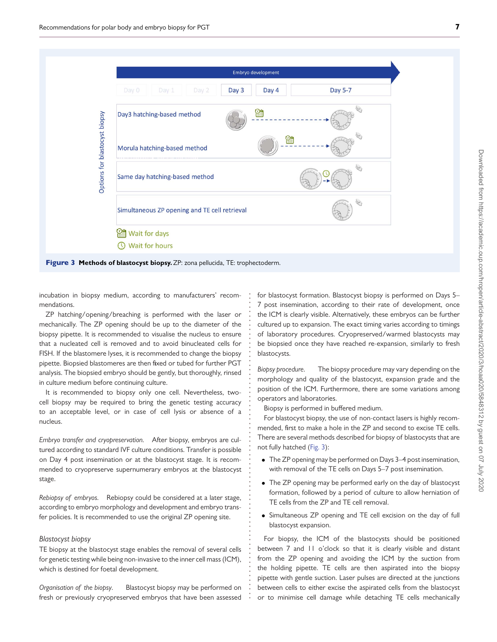

**. . . . . . . . . . . . . . . . . . . . . . . . . . . . . . . . . . . . . . . . . . . . . . . . . . . . . . . . . . . . . . . . . . . . .**

incubation in biopsy medium, according to manufacturers' recommendations.

ZP hatching/opening/breaching is performed with the laser or mechanically. The ZP opening should be up to the diameter of the biopsy pipette. It is recommended to visualise the nucleus to ensure that a nucleated cell is removed and to avoid binucleated cells for FISH. If the blastomere lyses, it is recommended to change the biopsy pipette. Biopsied blastomeres are then fixed or tubed for further PGT analysis. The biopsied embryo should be gently, but thoroughly, rinsed in culture medium before continuing culture.

<span id="page-6-0"></span>It is recommended to biopsy only one cell. Nevertheless, twocell biopsy may be required to bring the genetic testing accuracy to an acceptable level, or in case of cell lysis or absence of a nucleus.

*Embryo transfer and cryopreservation.* After biopsy, embryos are cultured according to standard IVF culture conditions. Transfer is possible on Day 4 post insemination or at the blastocyst stage. It is recommended to cryopreserve supernumerary embryos at the blastocyst stage.

*Rebiopsy of embryos.* Rebiopsy could be considered at a later stage, according to embryo morphology and development and embryo transfer policies. It is recommended to use the original ZP opening site.

#### *Blastocyst biopsy*

TE biopsy at the blastocyst stage enables the removal of several cells for genetic testing while being non-invasive to the inner cell mass (ICM), which is destined for foetal development.

*Organisation of the biopsy.* Blastocyst biopsy may be performed on fresh or previously cryopreserved embryos that have been assessed for blastocyst formation. Blastocyst biopsy is performed on Days 5– 7 post insemination, according to their rate of development, once the ICM is clearly visible. Alternatively, these embryos can be further cultured up to expansion. The exact timing varies according to timings of laboratory procedures. Cryopreserved/warmed blastocysts may be biopsied once they have reached re-expansion, similarly to fresh blastocysts.

*Biopsy procedure.* The biopsy procedure may vary depending on the morphology and quality of the blastocyst, expansion grade and the position of the ICM. Furthermore, there are some variations among operators and laboratories.

Biopsy is performed in buffered medium.

For blastocyst biopsy, the use of non-contact lasers is highly recommended, first to make a hole in the ZP and second to excise TE cells. There are several methods described for biopsy of blastocysts that are not fully hatched [\(Fig. 3\)](#page-6-0):

- The ZP opening may be performed on Days 3–4 post insemination, with removal of the TE cells on Days 5–7 post insemination.
- The ZP opening may be performed early on the day of blastocyst formation, followed by a period of culture to allow herniation of TE cells from the ZP and TE cell removal.
- Simultaneous ZP opening and TE cell excision on the day of full blastocyst expansion.

For biopsy, the ICM of the blastocysts should be positioned between 7 and 11 o'clock so that it is clearly visible and distant from the ZP opening and avoiding the ICM by the suction from the holding pipette. TE cells are then aspirated into the biopsy pipette with gentle suction. Laser pulses are directed at the junctions between cells to either excise the aspirated cells from the blastocyst or to minimise cell damage while detaching TE cells mechanically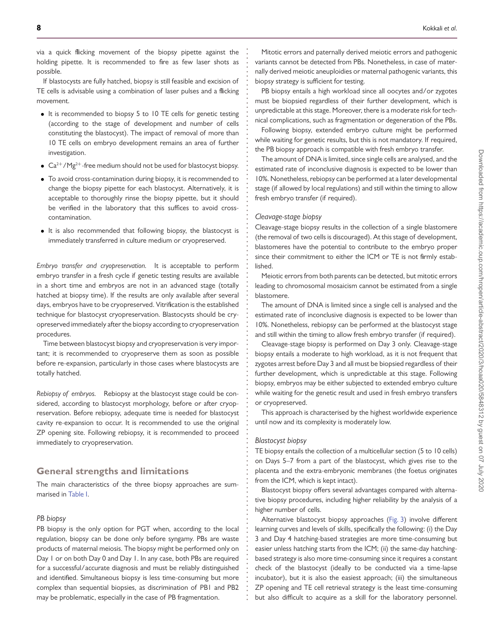via a quick flicking movement of the biopsy pipette against the holding pipette. It is recommended to fire as few laser shots as possible.

If blastocysts are fully hatched, biopsy is still feasible and excision of TE cells is advisable using a combination of laser pulses and a flicking movement.

- It is recommended to biopsy 5 to 10 TE cells for genetic testing (according to the stage of development and number of cells constituting the blastocyst). The impact of removal of more than 10 TE cells on embryo development remains an area of further investigation.
- $Ca^{2+}/Mg^{2+}$ -free medium should not be used for blastocyst biopsy.
- To avoid cross-contamination during biopsy, it is recommended to change the biopsy pipette for each blastocyst. Alternatively, it is acceptable to thoroughly rinse the biopsy pipette, but it should be verified in the laboratory that this suffices to avoid crosscontamination.
- It is also recommended that following biopsy, the blastocyst is immediately transferred in culture medium or cryopreserved.

*Embryo transfer and cryopreservation.* It is acceptable to perform embryo transfer in a fresh cycle if genetic testing results are available in a short time and embryos are not in an advanced stage (totally hatched at biopsy time). If the results are only available after several days, embryos have to be cryopreserved. Vitrification is the established technique for blastocyst cryopreservation. Blastocysts should be cryopreserved immediately after the biopsy according to cryopreservation procedures.

Time between blastocyst biopsy and cryopreservation is very important; it is recommended to cryopreserve them as soon as possible before re-expansion, particularly in those cases where blastocysts are totally hatched.

*Rebiopsy of embryos.* Rebiopsy at the blastocyst stage could be considered, according to blastocyst morphology, before or after cryopreservation. Before rebiopsy, adequate time is needed for blastocyst cavity re-expansion to occur. It is recommended to use the original ZP opening site. Following rebiopsy, it is recommended to proceed immediately to cryopreservation.

### **General strengths and limitations**

The main characteristics of the three biopsy approaches are summarised in [Table I.](#page-8-0)

#### *PB biopsy*

PB biopsy is the only option for PGT when, according to the local regulation, biopsy can be done only before syngamy. PBs are waste products of maternal meiosis. The biopsy might be performed only on Day 1 or on both Day 0 and Day 1. In any case, both PBs are required for a successful/accurate diagnosis and must be reliably distinguished and identified. Simultaneous biopsy is less time-consuming but more complex than sequential biopsies, as discrimination of PB1 and PB2 may be problematic, especially in the case of PB fragmentation.

Mitotic errors and paternally derived meiotic errors and pathogenic variants cannot be detected from PBs. Nonetheless, in case of maternally derived meiotic aneuploidies or maternal pathogenic variants, this biopsy strategy is sufficient for testing.

PB biopsy entails a high workload since all oocytes and/or zygotes must be biopsied regardless of their further development, which is unpredictable at this stage. Moreover, there is a moderate risk for technical complications, such as fragmentation or degeneration of the PBs.

Following biopsy, extended embryo culture might be performed while waiting for genetic results, but this is not mandatory. If required, the PB biopsy approach is compatible with fresh embryo transfer.

The amount of DNA is limited, since single cells are analysed, and the estimated rate of inconclusive diagnosis is expected to be lower than 10%. Nonetheless, rebiopsy can be performed at a later developmental stage (if allowed by local regulations) and still within the timing to allow fresh embryo transfer (if required).

#### *Cleavage-stage biopsy*

**. . . . . . . . . . . . . . . . . . . . . . . . . . . . . . . . . . . . . . . . . . . . . . . . . . . . . . . . . . . . . . . . . . . . . . . . . . . . . . . . . . . . . . . . . . . . . . . . . . . . . . . . . . . . . . . . . . . . . . . . . . . .**

Cleavage-stage biopsy results in the collection of a single blastomere (the removal of two cells is discouraged). At this stage of development, blastomeres have the potential to contribute to the embryo proper since their commitment to either the ICM or TE is not firmly established.

Meiotic errors from both parents can be detected, but mitotic errors leading to chromosomal mosaicism cannot be estimated from a single blastomere.

The amount of DNA is limited since a single cell is analysed and the estimated rate of inconclusive diagnosis is expected to be lower than 10%. Nonetheless, rebiopsy can be performed at the blastocyst stage and still within the timing to allow fresh embryo transfer (if required).

Cleavage-stage biopsy is performed on Day 3 only. Cleavage-stage biopsy entails a moderate to high workload, as it is not frequent that zygotes arrest before Day 3 and all must be biopsied regardless of their further development, which is unpredictable at this stage. Following biopsy, embryos may be either subjected to extended embryo culture while waiting for the genetic result and used in fresh embryo transfers or cryopreserved.

This approach is characterised by the highest worldwide experience until now and its complexity is moderately low.

#### *Blastocyst biopsy*

TE biopsy entails the collection of a multicellular section (5 to 10 cells) on Days 5–7 from a part of the blastocyst, which gives rise to the placenta and the extra-embryonic membranes (the foetus originates from the ICM, which is kept intact).

Blastocyst biopsy offers several advantages compared with alternative biopsy procedures, including higher reliability by the analysis of a higher number of cells.

Alternative blastocyst biopsy approaches [\(Fig. 3\)](#page-6-0) involve different learning curves and levels of skills, specifically the following: (i) the Day 3 and Day 4 hatching-based strategies are more time-consuming but easier unless hatching starts from the ICM; (ii) the same-day hatchingbased strategy is also more time-consuming since it requires a constant check of the blastocyst (ideally to be conducted via a time-lapse incubator), but it is also the easiest approach; (iii) the simultaneous ZP opening and TE cell retrieval strategy is the least time-consuming but also difficult to acquire as a skill for the laboratory personnel.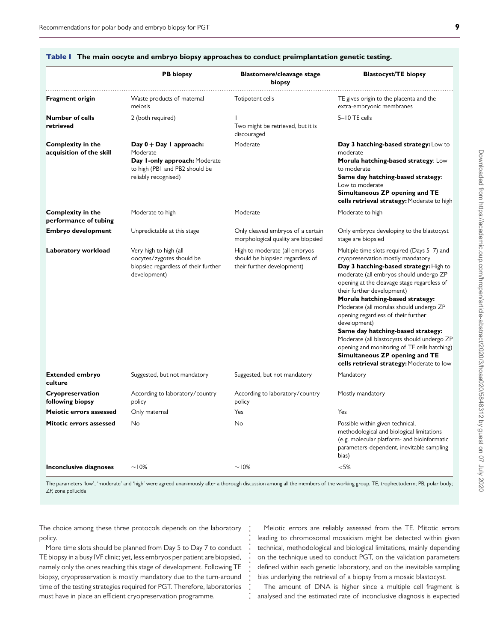|                                                      | <b>PB</b> biopsy                                                                                                                 | <b>Blastomere/cleavage stage</b><br>biopsy                                                      | <b>Blastocyst/TE biopsy</b>                                                                                                                                                                                                                                                                                                                                                                                                                                                                                                                                                                                |
|------------------------------------------------------|----------------------------------------------------------------------------------------------------------------------------------|-------------------------------------------------------------------------------------------------|------------------------------------------------------------------------------------------------------------------------------------------------------------------------------------------------------------------------------------------------------------------------------------------------------------------------------------------------------------------------------------------------------------------------------------------------------------------------------------------------------------------------------------------------------------------------------------------------------------|
| Fragment origin                                      | Waste products of maternal<br>meiosis                                                                                            | Totipotent cells                                                                                | TE gives origin to the placenta and the<br>extra-embryonic membranes                                                                                                                                                                                                                                                                                                                                                                                                                                                                                                                                       |
| <b>Number of cells</b><br>retrieved                  | 2 (both required)                                                                                                                | Two might be retrieved, but it is<br>discouraged                                                | 5-10 TE cells                                                                                                                                                                                                                                                                                                                                                                                                                                                                                                                                                                                              |
| <b>Complexity in the</b><br>acquisition of the skill | Day $0 + Day 1$ approach:<br>Moderate<br>Day I-only approach: Moderate<br>to high (PBI and PB2 should be<br>reliably recognised) | Moderate                                                                                        | Day 3 hatching-based strategy: Low to<br>moderate<br>Morula hatching-based strategy: Low<br>to moderate<br>Same day hatching-based strategy:<br>Low to moderate<br>Simultaneous ZP opening and TE<br>cells retrieval strategy: Moderate to high                                                                                                                                                                                                                                                                                                                                                            |
| <b>Complexity in the</b><br>performance of tubing    | Moderate to high                                                                                                                 | Moderate                                                                                        | Moderate to high                                                                                                                                                                                                                                                                                                                                                                                                                                                                                                                                                                                           |
| Embryo development                                   | Unpredictable at this stage                                                                                                      | Only cleaved embryos of a certain<br>morphological quality are biopsied                         | Only embryos developing to the blastocyst<br>stage are biopsied                                                                                                                                                                                                                                                                                                                                                                                                                                                                                                                                            |
| Laboratory workload                                  | Very high to high (all<br>oocytes/zygotes should be<br>biopsied regardless of their further<br>development)                      | High to moderate (all embryos<br>should be biopsied regardless of<br>their further development) | Multiple time slots required (Days 5-7) and<br>cryopreservation mostly mandatory<br>Day 3 hatching-based strategy: High to<br>moderate (all embryos should undergo ZP<br>opening at the cleavage stage regardless of<br>their further development)<br>Morula hatching-based strategy:<br>Moderate (all morulas should undergo ZP<br>opening regardless of their further<br>development)<br>Same day hatching-based strategy:<br>Moderate (all blastocysts should undergo ZP<br>opening and monitoring of TE cells hatching)<br>Simultaneous ZP opening and TE<br>cells retrieval strategy: Moderate to low |
| <b>Extended embryo</b><br>culture                    | Suggested, but not mandatory                                                                                                     | Suggested, but not mandatory                                                                    | Mandatory                                                                                                                                                                                                                                                                                                                                                                                                                                                                                                                                                                                                  |
| Cryopreservation<br>following biopsy                 | According to laboratory/country<br>policy                                                                                        | According to laboratory/country<br>policy                                                       | Mostly mandatory                                                                                                                                                                                                                                                                                                                                                                                                                                                                                                                                                                                           |
| Meiotic errors assessed                              | Only maternal                                                                                                                    | Yes                                                                                             | Yes                                                                                                                                                                                                                                                                                                                                                                                                                                                                                                                                                                                                        |
| Mitotic errors assessed                              | No                                                                                                                               | No                                                                                              | Possible within given technical,<br>methodological and biological limitations<br>(e.g. molecular platform- and bioinformatic<br>parameters-dependent, inevitable sampling<br>bias)                                                                                                                                                                                                                                                                                                                                                                                                                         |
| Inconclusive diagnoses                               | $\sim$ 10%                                                                                                                       | $\sim$ 10%                                                                                      | ${<}5%$                                                                                                                                                                                                                                                                                                                                                                                                                                                                                                                                                                                                    |

#### Table I **The main oocyte and embryo biopsy approaches to conduct preimplantation genetic testing.**

<span id="page-8-0"></span>The parameters 'low', 'moderate' and 'high' were agreed unanimously after a thorough discussion among all the members of the working group. TE, trophectoderm; PB, polar body; ZP, zona pellucida

> **. . . . . . . . . . . . . . . . .**

The choice among these three protocols depends on the laboratory policy.

More time slots should be planned from Day 5 to Day 7 to conduct TE biopsy in a busy IVF clinic; yet, less embryos per patient are biopsied, namely only the ones reaching this stage of development. Following TE biopsy, cryopreservation is mostly mandatory due to the turn-around time of the testing strategies required for PGT. Therefore, laboratories must have in place an efficient cryopreservation programme.

Meiotic errors are reliably assessed from the TE. Mitotic errors leading to chromosomal mosaicism might be detected within given technical, methodological and biological limitations, mainly depending on the technique used to conduct PGT, on the validation parameters defined within each genetic laboratory, and on the inevitable sampling bias underlying the retrieval of a biopsy from a mosaic blastocyst.

The amount of DNA is higher since a multiple cell fragment is analysed and the estimated rate of inconclusive diagnosis is expected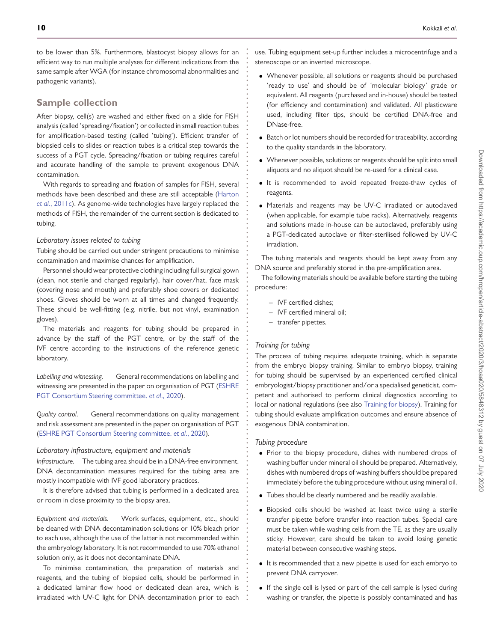to be lower than 5%. Furthermore, blastocyst biopsy allows for an efficient way to run multiple analyses for different indications from the same sample after WGA (for instance chromosomal abnormalities and pathogenic variants).

### **Sample collection**

After biopsy, cell(s) are washed and either fixed on a slide for FISH analysis (called 'spreading/fixation') or collected in small reaction tubes for amplification-based testing (called 'tubing'). Efficient transfer of biopsied cells to slides or reaction tubes is a critical step towards the success of a PGT cycle. Spreading/fixation or tubing requires careful and accurate handling of the sample to prevent exogenous DNA contamination.

With regards to spreading and fixation of samples for FISH, several [methods have been described and these are still acceptable \(Harton](#page-11-8) et al., 2011c). As genome-wide technologies have largely replaced the methods of FISH, the remainder of the current section is dedicated to tubing.

#### *Laboratory issues related to tubing*

Tubing should be carried out under stringent precautions to minimise contamination and maximise chances for amplification.

Personnel should wear protective clothing including full surgical gown (clean, not sterile and changed regularly), hair cover/hat, face mask (covering nose and mouth) and preferably shoe covers or dedicated shoes. Gloves should be worn at all times and changed frequently. These should be well-fitting (e.g. nitrile, but not vinyl, examination gloves).

The materials and reagents for tubing should be prepared in advance by the staff of the PGT centre, or by the staff of the IVF centre according to the instructions of the reference genetic laboratory.

*Labelling and witnessing.* General recommendations on labelling and [witnessing are presented in the paper on organisation of PGT \(ESHRE](#page-11-12) PGT Consortium Steering committee. *et al*., 2020).

*Quality control.* General recommendations on quality management and risk assessment are presented in the paper on organisation of PGT [\(ESHRE PGT Consortium Steering committee.](#page-11-12) *et al*., 2020).

#### *Laboratory infrastructure, equipment and materials*

*Infrastructure.* The tubing area should be in a DNA-free environment. DNA decontamination measures required for the tubing area are mostly incompatible with IVF good laboratory practices.

It is therefore advised that tubing is performed in a dedicated area or room in close proximity to the biopsy area.

*Equipment and materials.* Work surfaces, equipment, etc., should be cleaned with DNA decontamination solutions or 10% bleach prior to each use, although the use of the latter is not recommended within the embryology laboratory. It is not recommended to use 70% ethanol solution only, as it does not decontaminate DNA.

To minimise contamination, the preparation of materials and reagents, and the tubing of biopsied cells, should be performed in a dedicated laminar flow hood or dedicated clean area, which is irradiated with UV-C light for DNA decontamination prior to each use. Tubing equipment set-up further includes a microcentrifuge and a stereoscope or an inverted microscope.

- Whenever possible, all solutions or reagents should be purchased 'ready to use' and should be of 'molecular biology' grade or equivalent. All reagents (purchased and in-house) should be tested (for efficiency and contamination) and validated. All plasticware used, including filter tips, should be certified DNA-free and DNase-free.
- Batch or lot numbers should be recorded for traceability, according to the quality standards in the laboratory.
- Whenever possible, solutions or reagents should be split into small aliquots and no aliquot should be re-used for a clinical case.
- It is recommended to avoid repeated freeze-thaw cycles of reagents.
- Materials and reagents may be UV-C irradiated or autoclaved (when applicable, for example tube racks). Alternatively, reagents and solutions made in-house can be autoclaved, preferably using a PGT-dedicated autoclave or filter-sterilised followed by UV-C irradiation.

The tubing materials and reagents should be kept away from any DNA source and preferably stored in the pre-amplification area.

The following materials should be available before starting the tubing procedure:

- IVF certified dishes;
- IVF certified mineral oil;
- transfer pipettes.

#### *Training for tubing*

**. . . . . . . . . . . . . . . . . . . . . . . . . . . . . . . . . . . . . . . . . . . . . . . . . . . . . . . . . . . . . . . . . . . . . . . . . . . . . . . . . . . . . . . . . . . . . . . . . . . . . . . . . . . . . . . . . . . . . . . . . . . .**

The process of tubing requires adequate training, which is separate from the embryo biopsy training. Similar to embryo biopsy, training for tubing should be supervised by an experienced certified clinical embryologist/biopsy practitioner and/or a specialised geneticist, competent and authorised to perform clinical diagnostics according to local or national regulations (see also [Training for biopsy\)](#page-5-0). Training for tubing should evaluate amplification outcomes and ensure absence of exogenous DNA contamination.

#### *Tubing procedure*

- Prior to the biopsy procedure, dishes with numbered drops of washing buffer under mineral oil should be prepared. Alternatively, dishes with numbered drops of washing buffers should be prepared immediately before the tubing procedure without using mineral oil.
- Tubes should be clearly numbered and be readily available.
- Biopsied cells should be washed at least twice using a sterile transfer pipette before transfer into reaction tubes. Special care must be taken while washing cells from the TE, as they are usually sticky. However, care should be taken to avoid losing genetic material between consecutive washing steps.
- It is recommended that a new pipette is used for each embryo to prevent DNA carryover.
- If the single cell is lysed or part of the cell sample is lysed during washing or transfer, the pipette is possibly contaminated and has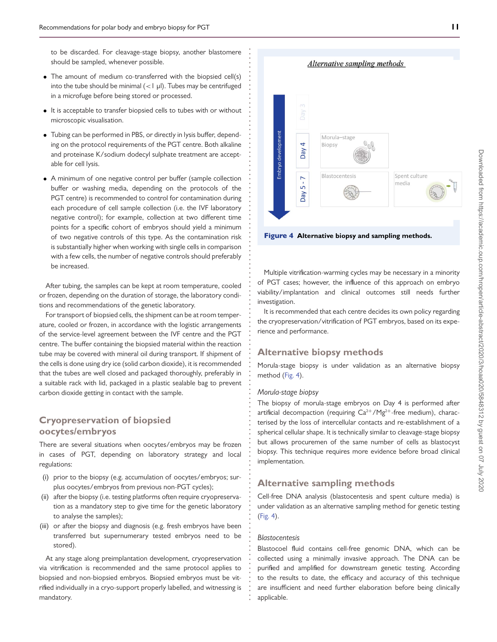to be discarded. For cleavage-stage biopsy, another blastomere should be sampled, whenever possible.

**. . . . . . . . . . . . . . . . . . . . . . . . . . . . . . . . . . . . . . . . . . . . . . . . . . . . . . . . . . . . . . . . . . . . . . . . . . . . . . . . . . . . . . . . . . . . . . . . . . . . . . . . . . . . . . . . . . . . . . . . . . . .**

- The amount of medium co-transferred with the biopsied cell(s) into the tube should be minimal (*<*1 μl). Tubes may be centrifuged in a microfuge before being stored or processed.
- It is acceptable to transfer biopsied cells to tubes with or without microscopic visualisation.
- Tubing can be performed in PBS, or directly in lysis buffer, depending on the protocol requirements of the PGT centre. Both alkaline and proteinase K/sodium dodecyl sulphate treatment are acceptable for cell lysis.
- A minimum of one negative control per buffer (sample collection buffer or washing media, depending on the protocols of the PGT centre) is recommended to control for contamination during each procedure of cell sample collection (i.e. the IVF laboratory negative control); for example, collection at two different time points for a specific cohort of embryos should yield a minimum of two negative controls of this type. As the contamination risk is substantially higher when working with single cells in comparison with a few cells, the number of negative controls should preferably be increased.

After tubing, the samples can be kept at room temperature, cooled or frozen, depending on the duration of storage, the laboratory conditions and recommendations of the genetic laboratory.

For transport of biopsied cells, the shipment can be at room temperature, cooled or frozen, in accordance with the logistic arrangements of the service-level agreement between the IVF centre and the PGT centre. The buffer containing the biopsied material within the reaction tube may be covered with mineral oil during transport. If shipment of the cells is done using dry ice (solid carbon dioxide), it is recommended that the tubes are well closed and packaged thoroughly, preferably in a suitable rack with lid, packaged in a plastic sealable bag to prevent carbon dioxide getting in contact with the sample.

## **Cryopreservation of biopsied oocytes/embryos**

There are several situations when oocytes/embryos may be frozen in cases of PGT, depending on laboratory strategy and local regulations:

- (i) prior to the biopsy (e.g. accumulation of oocytes/embryos; surplus oocytes/embryos from previous non-PGT cycles);
- (ii) after the biopsy (i.e. testing platforms often require cryopreservation as a mandatory step to give time for the genetic laboratory to analyse the samples);
- (iii) or after the biopsy and diagnosis (e.g. fresh embryos have been transferred but supernumerary tested embryos need to be stored).

At any stage along preimplantation development, cryopreservation via vitrification is recommended and the same protocol applies to biopsied and non-biopsied embryos. Biopsied embryos must be vitrified individually in a cryo-support properly labelled, and witnessing is mandatory.

Morula-stage Embryo developm  $\overline{a}$ Biopsy Day Blastocentesis Spent culture  $\overline{r}$ media  $\overline{5}$ i keg

Figure 4 **Alternative biopsy and sampling methods.**

Multiple vitrification-warming cycles may be necessary in a minority of PGT cases; however, the influence of this approach on embryo viability/implantation and clinical outcomes still needs further investigation.

<span id="page-10-0"></span>It is recommended that each centre decides its own policy regarding the cryopreservation/vitrification of PGT embryos, based on its experience and performance.

### **Alternative biopsy methods**

Morula-stage biopsy is under validation as an alternative biopsy method [\(Fig. 4\)](#page-10-0).

#### *Morula-stage biopsy*

The biopsy of morula-stage embryos on Day 4 is performed after artificial decompaction (requiring  $Ca^{2+}/Mg^{2+}$ -free medium), characterised by the loss of intercellular contacts and re-establishment of a spherical cellular shape. It is technically similar to cleavage-stage biopsy but allows procuremen of the same number of cells as blastocyst biopsy. This technique requires more evidence before broad clinical implementation.

### **Alternative sampling methods**

Cell-free DNA analysis (blastocentesis and spent culture media) is under validation as an alternative sampling method for genetic testing [\(Fig. 4\)](#page-10-0).

#### *Blastocentesis*

Blastocoel fluid contains cell-free genomic DNA, which can be collected using a minimally invasive approach. The DNA can be purified and amplified for downstream genetic testing. According to the results to date, the efficacy and accuracy of this technique are insufficient and need further elaboration before being clinically applicable.